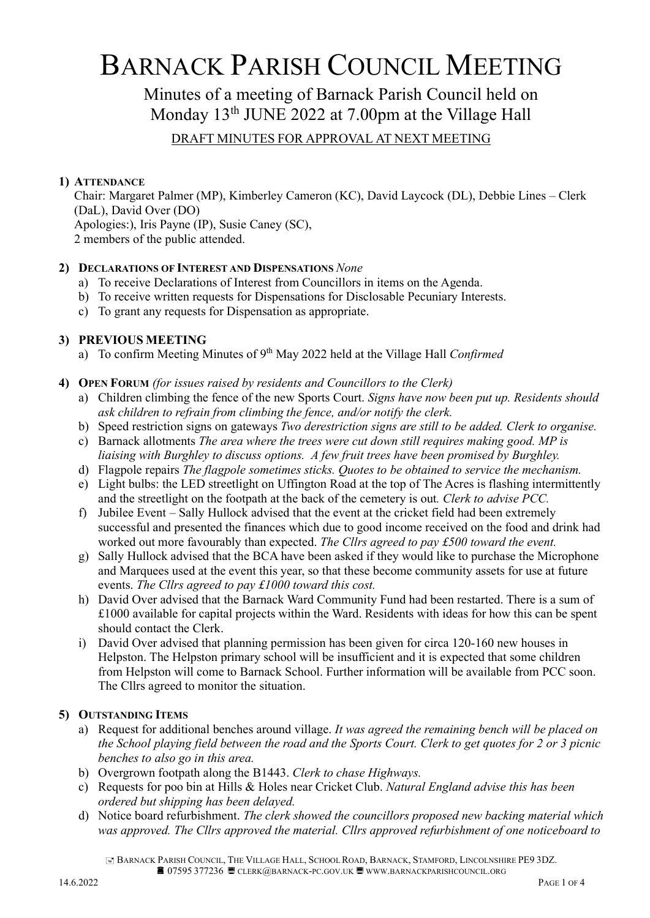# BARNACK PARISH COUNCIL MEETING

## Minutes of a meeting of Barnack Parish Council held on Monday 13<sup>th</sup> JUNE 2022 at 7.00pm at the Village Hall

### DRAFT MINUTES FOR APPROVAL AT NEXT MEETING

#### 1) ATTENDANCE

Chair: Margaret Palmer (MP), Kimberley Cameron (KC), David Laycock (DL), Debbie Lines – Clerk (DaL), David Over (DO) Apologies:), Iris Payne (IP), Susie Caney (SC), 2 members of the public attended.

#### 2) DECLARATIONS OF INTEREST AND DISPENSATIONS None

- a) To receive Declarations of Interest from Councillors in items on the Agenda.
- b) To receive written requests for Dispensations for Disclosable Pecuniary Interests.
- c) To grant any requests for Dispensation as appropriate.

#### 3) PREVIOUS MEETING

- a) To confirm Meeting Minutes of  $9<sup>th</sup>$  May 2022 held at the Village Hall Confirmed
- 4) OPEN FORUM (for issues raised by residents and Councillors to the Clerk)
	- a) Children climbing the fence of the new Sports Court. Signs have now been put up. Residents should ask children to refrain from climbing the fence, and/or notify the clerk.
	- b) Speed restriction signs on gateways Two derestriction signs are still to be added. Clerk to organise.
	- c) Barnack allotments The area where the trees were cut down still requires making good. MP is liaising with Burghley to discuss options. A few fruit trees have been promised by Burghley.
	- d) Flagpole repairs The flagpole sometimes sticks. Quotes to be obtained to service the mechanism.
	- e) Light bulbs: the LED streetlight on Uffington Road at the top of The Acres is flashing intermittently and the streetlight on the footpath at the back of the cemetery is out. Clerk to advise PCC.
	- f) Jubilee Event Sally Hullock advised that the event at the cricket field had been extremely successful and presented the finances which due to good income received on the food and drink had worked out more favourably than expected. The Cllrs agreed to pay £500 toward the event.
	- g) Sally Hullock advised that the BCA have been asked if they would like to purchase the Microphone and Marquees used at the event this year, so that these become community assets for use at future events. The Cllrs agreed to pay £1000 toward this cost.
	- h) David Over advised that the Barnack Ward Community Fund had been restarted. There is a sum of £1000 available for capital projects within the Ward. Residents with ideas for how this can be spent should contact the Clerk.
	- i) David Over advised that planning permission has been given for circa 120-160 new houses in Helpston. The Helpston primary school will be insufficient and it is expected that some children from Helpston will come to Barnack School. Further information will be available from PCC soon. The Cllrs agreed to monitor the situation.

#### 5) OUTSTANDING ITEMS

- a) Request for additional benches around village. It was agreed the remaining bench will be placed on the School playing field between the road and the Sports Court. Clerk to get quotes for 2 or 3 picnic benches to also go in this area.
- b) Overgrown footpath along the B1443. Clerk to chase Highways.
- c) Requests for poo bin at Hills & Holes near Cricket Club. Natural England advise this has been ordered but shipping has been delayed.
- d) Notice board refurbishment. The clerk showed the councillors proposed new backing material which was approved. The Cllrs approved the material. Cllrs approved refurbishment of one noticeboard to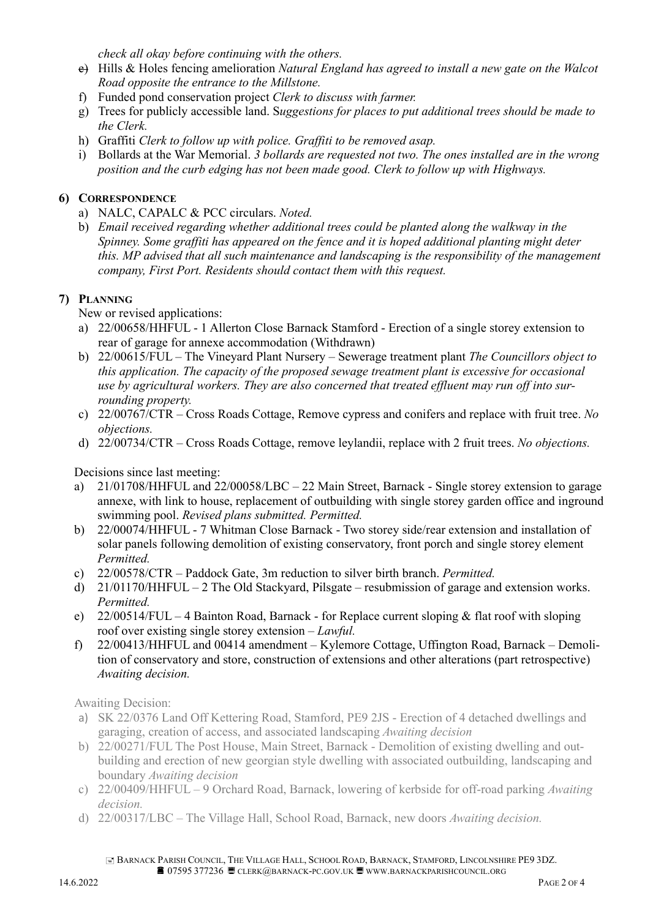check all okay before continuing with the others.

- $e$ ) Hills & Holes fencing amelioration *Natural England has agreed to install a new gate on the Walcot* Road opposite the entrance to the Millstone.
- f) Funded pond conservation project Clerk to discuss with farmer.
- g) Trees for publicly accessible land. Suggestions for places to put additional trees should be made to the Clerk.
- h) Graffiti Clerk to follow up with police. Graffiti to be removed asap.
- i) Bollards at the War Memorial. 3 bollards are requested not two. The ones installed are in the wrong position and the curb edging has not been made good. Clerk to follow up with Highways.

#### 6) CORRESPONDENCE

- a) NALC, CAPALC & PCC circulars. Noted.
- b) Email received regarding whether additional trees could be planted along the walkway in the Spinney. Some graffiti has appeared on the fence and it is hoped additional planting might deter this. MP advised that all such maintenance and landscaping is the responsibility of the management company, First Port. Residents should contact them with this request.

#### 7) PLANNING

New or revised applications:

- a) 22/00658/HHFUL 1 Allerton Close Barnack Stamford Erection of a single storey extension to rear of garage for annexe accommodation (Withdrawn)
- b) 22/00615/FUL The Vineyard Plant Nursery Sewerage treatment plant The Councillors object to this application. The capacity of the proposed sewage treatment plant is excessive for occasional use by agricultural workers. They are also concerned that treated effluent may run off into surrounding property.
- c) 22/00767/CTR Cross Roads Cottage, Remove cypress and conifers and replace with fruit tree. No objections.
- d) 22/00734/CTR Cross Roads Cottage, remove leylandii, replace with 2 fruit trees. No objections.

Decisions since last meeting:

- a) 21/01708/HHFUL and 22/00058/LBC 22 Main Street, Barnack Single storey extension to garage annexe, with link to house, replacement of outbuilding with single storey garden office and inground swimming pool. Revised plans submitted. Permitted.
- b) 22/00074/HHFUL 7 Whitman Close Barnack Two storey side/rear extension and installation of solar panels following demolition of existing conservatory, front porch and single storey element Permitted.
- c) 22/00578/CTR Paddock Gate, 3m reduction to silver birth branch. Permitted.
- d) 21/01170/HHFUL 2 The Old Stackyard, Pilsgate resubmission of garage and extension works. Permitted.
- e) 22/00514/FUL 4 Bainton Road, Barnack for Replace current sloping & flat roof with sloping roof over existing single storey extension – Lawful.
- f) 22/00413/HHFUL and 00414 amendment Kylemore Cottage, Uffington Road, Barnack Demolition of conservatory and store, construction of extensions and other alterations (part retrospective) Awaiting decision.

Awaiting Decision:

- a) SK 22/0376 Land Off Kettering Road, Stamford, PE9 2JS Erection of 4 detached dwellings and garaging, creation of access, and associated landscaping Awaiting decision
- b) 22/00271/FUL The Post House, Main Street, Barnack Demolition of existing dwelling and outbuilding and erection of new georgian style dwelling with associated outbuilding, landscaping and boundary Awaiting decision
- c) 22/00409/HHFUL 9 Orchard Road, Barnack, lowering of kerbside for off-road parking Awaiting decision.
- d) 22/00317/LBC The Village Hall, School Road, Barnack, new doors Awaiting decision.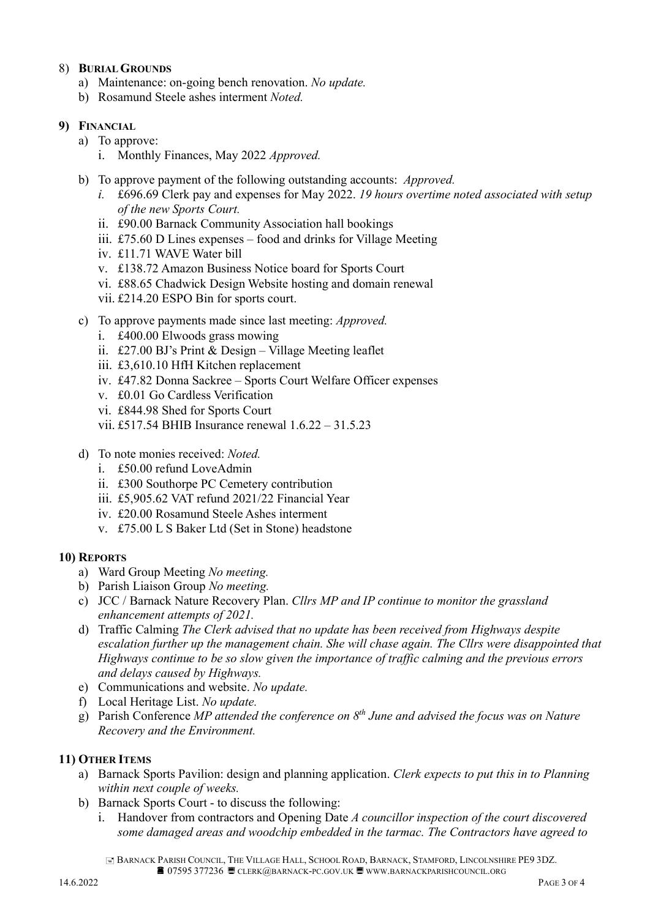#### 8) BURIAL GROUNDS

- a) Maintenance: on-going bench renovation. No update.
- b) Rosamund Steele ashes interment Noted.

#### 9) FINANCIAL

- a) To approve:
	- i. Monthly Finances, May 2022 Approved.
- b) To approve payment of the following outstanding accounts: Approved.
	- i. £696.69 Clerk pay and expenses for May 2022. 19 hours overtime noted associated with setup of the new Sports Court.
	- ii. £90.00 Barnack Community Association hall bookings
	- iii. £75.60 D Lines expenses food and drinks for Village Meeting
	- iv. £11.71 WAVE Water bill
	- v. £138.72 Amazon Business Notice board for Sports Court
	- vi. £88.65 Chadwick Design Website hosting and domain renewal
	- vii. £214.20 ESPO Bin for sports court.
- c) To approve payments made since last meeting: Approved.
	- i. £400.00 Elwoods grass mowing
	- ii. £27.00 BJ's Print & Design Village Meeting leaflet
	- iii. £3,610.10 HfH Kitchen replacement
	- iv. £47.82 Donna Sackree Sports Court Welfare Officer expenses
	- v. £0.01 Go Cardless Verification
	- vi. £844.98 Shed for Sports Court
	- vii. £517.54 BHIB Insurance renewal 1.6.22 31.5.23
- d) To note monies received: Noted.
	- i. £50.00 refund LoveAdmin
	- ii. £300 Southorpe PC Cemetery contribution
	- iii. £5,905.62 VAT refund 2021/22 Financial Year
	- iv. £20.00 Rosamund Steele Ashes interment
	- v. £75.00 L S Baker Ltd (Set in Stone) headstone

#### 10) REPORTS

- a) Ward Group Meeting No meeting.
- b) Parish Liaison Group No meeting.
- c) JCC / Barnack Nature Recovery Plan. Cllrs MP and IP continue to monitor the grassland enhancement attempts of 2021.
- d) Traffic Calming The Clerk advised that no update has been received from Highways despite escalation further up the management chain. She will chase again. The Cllrs were disappointed that Highways continue to be so slow given the importance of traffic calming and the previous errors and delays caused by Highways.
- e) Communications and website. No update.
- f) Local Heritage List. No update.
- g) Parish Conference MP attended the conference on  $8<sup>th</sup>$  June and advised the focus was on Nature Recovery and the Environment.

#### 11) OTHER ITEMS

- a) Barnack Sports Pavilion: design and planning application. Clerk expects to put this in to Planning within next couple of weeks.
- b) Barnack Sports Court to discuss the following:
	- i. Handover from contractors and Opening Date  $A$  councillor inspection of the court discovered some damaged areas and woodchip embedded in the tarmac. The Contractors have agreed to

 BARNACK PARISH COUNCIL, THE VILLAGE HALL, SCHOOL ROAD, BARNACK, STAMFORD, LINCOLNSHIRE PE9 3DZ. **■ 07595 377236 ■ CLERK@BARNACK-PC.GOV.UK ■ WWW.BARNACKPARISHCOUNCIL.ORG**